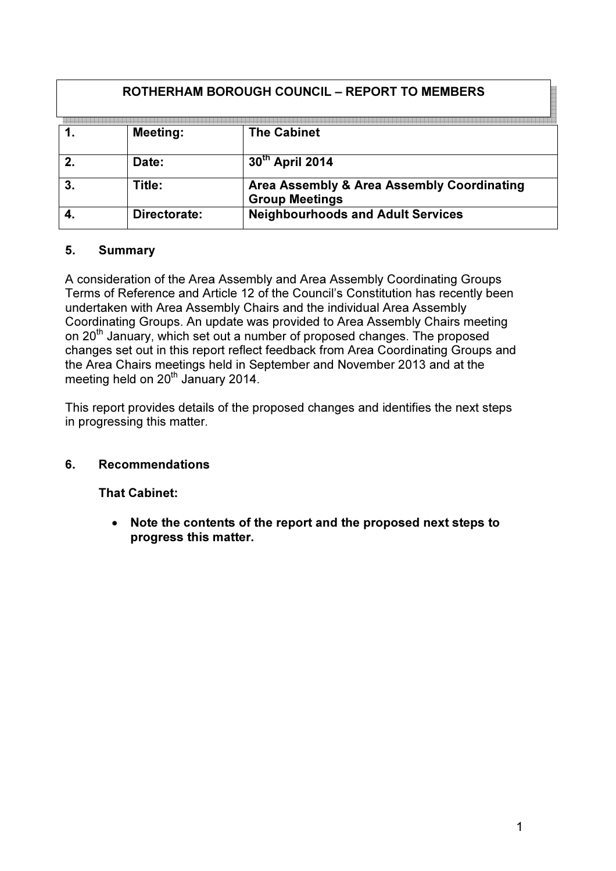| <b>ROTHERHAM BOROUGH COUNCIL – REPORT TO MEMBERS</b> |              |                                                                     |
|------------------------------------------------------|--------------|---------------------------------------------------------------------|
|                                                      | Meeting:     | <b>The Cabinet</b>                                                  |
|                                                      | Date:        | 30th April 2014                                                     |
|                                                      | Title:       | Area Assembly & Area Assembly Coordinating<br><b>Group Meetings</b> |
|                                                      | Directorate: | <b>Neighbourhoods and Adult Services</b>                            |

## 5. Summary

A consideration of the Area Assembly and Area Assembly Coordinating Groups Terms of Reference and Article 12 of the Council's Constitution has recently been undertaken with Area Assembly Chairs and the individual Area Assembly Coordinating Groups. An update was provided to Area Assembly Chairs meeting on 20<sup>th</sup> January, which set out a number of proposed changes. The proposed changes set out in this report reflect feedback from Area Coordinating Groups and the Area Chairs meetings held in September and November 2013 and at the meeting held on 20<sup>th</sup> January 2014.

This report provides details of the proposed changes and identifies the next steps in progressing this matter.

## 6. Recommendations

That Cabinet:

• Note the contents of the report and the proposed next steps to progress this matter.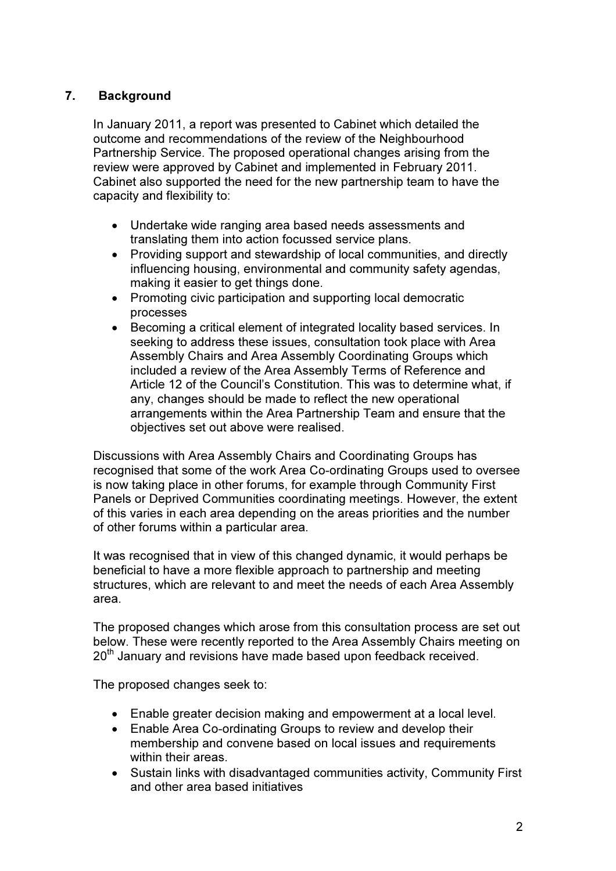## 7. Background

In January 2011, a report was presented to Cabinet which detailed the outcome and recommendations of the review of the Neighbourhood Partnership Service. The proposed operational changes arising from the review were approved by Cabinet and implemented in February 2011. Cabinet also supported the need for the new partnership team to have the capacity and flexibility to:

- Undertake wide ranging area based needs assessments and translating them into action focussed service plans.
- Providing support and stewardship of local communities, and directly influencing housing, environmental and community safety agendas, making it easier to get things done.
- Promoting civic participation and supporting local democratic processes
- Becoming a critical element of integrated locality based services. In seeking to address these issues, consultation took place with Area Assembly Chairs and Area Assembly Coordinating Groups which included a review of the Area Assembly Terms of Reference and Article 12 of the Council's Constitution. This was to determine what, if any, changes should be made to reflect the new operational arrangements within the Area Partnership Team and ensure that the objectives set out above were realised.

Discussions with Area Assembly Chairs and Coordinating Groups has recognised that some of the work Area Co-ordinating Groups used to oversee is now taking place in other forums, for example through Community First Panels or Deprived Communities coordinating meetings. However, the extent of this varies in each area depending on the areas priorities and the number of other forums within a particular area.

It was recognised that in view of this changed dynamic, it would perhaps be beneficial to have a more flexible approach to partnership and meeting structures, which are relevant to and meet the needs of each Area Assembly area.

The proposed changes which arose from this consultation process are set out below. These were recently reported to the Area Assembly Chairs meeting on 20<sup>th</sup> January and revisions have made based upon feedback received.

The proposed changes seek to:

- Enable greater decision making and empowerment at a local level.
- Enable Area Co-ordinating Groups to review and develop their membership and convene based on local issues and requirements within their areas.
- Sustain links with disadvantaged communities activity, Community First and other area based initiatives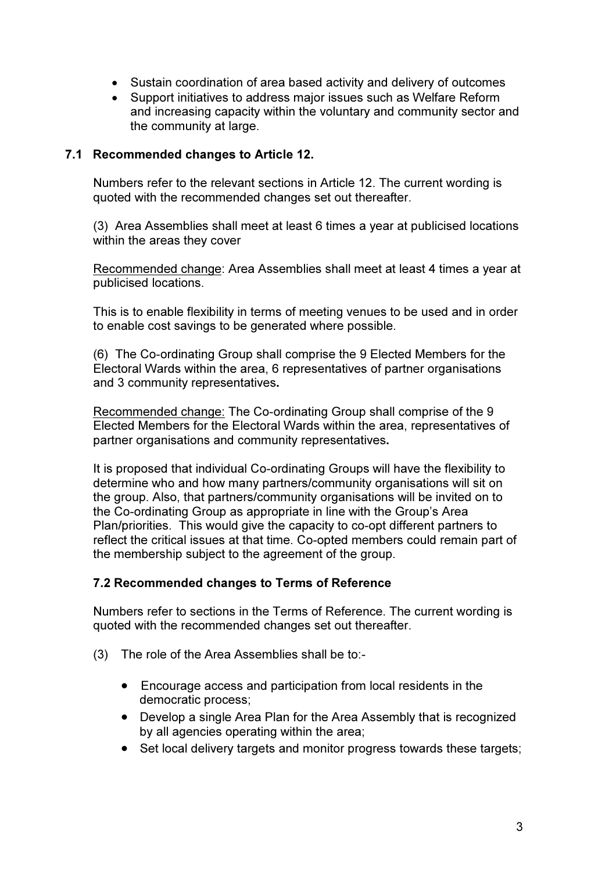- Sustain coordination of area based activity and delivery of outcomes
- Support initiatives to address major issues such as Welfare Reform and increasing capacity within the voluntary and community sector and the community at large.

### 7.1 Recommended changes to Article 12.

Numbers refer to the relevant sections in Article 12. The current wording is quoted with the recommended changes set out thereafter.

(3) Area Assemblies shall meet at least 6 times a year at publicised locations within the areas they cover

Recommended change: Area Assemblies shall meet at least 4 times a year at publicised locations.

This is to enable flexibility in terms of meeting venues to be used and in order to enable cost savings to be generated where possible.

(6) The Co-ordinating Group shall comprise the 9 Elected Members for the Electoral Wards within the area, 6 representatives of partner organisations and 3 community representatives.

Recommended change: The Co-ordinating Group shall comprise of the 9 Elected Members for the Electoral Wards within the area, representatives of partner organisations and community representatives.

It is proposed that individual Co-ordinating Groups will have the flexibility to determine who and how many partners/community organisations will sit on the group. Also, that partners/community organisations will be invited on to the Co-ordinating Group as appropriate in line with the Group's Area Plan/priorities. This would give the capacity to co-opt different partners to reflect the critical issues at that time. Co-opted members could remain part of the membership subject to the agreement of the group.

#### 7.2 Recommended changes to Terms of Reference

Numbers refer to sections in the Terms of Reference. The current wording is quoted with the recommended changes set out thereafter.

- (3) The role of the Area Assemblies shall be to:-
	- Encourage access and participation from local residents in the democratic process;
	- Develop a single Area Plan for the Area Assembly that is recognized by all agencies operating within the area;
	- Set local delivery targets and monitor progress towards these targets;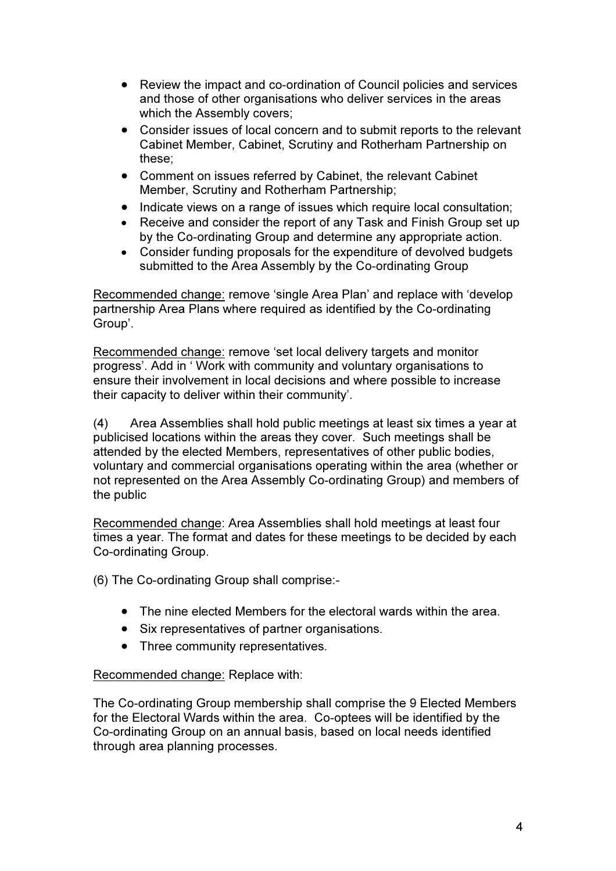- Review the impact and co-ordination of Council policies and services and those of other organisations who deliver services in the areas which the Assembly covers;
- Consider issues of local concern and to submit reports to the relevant Cabinet Member, Cabinet, Scrutiny and Rotherham Partnership on these;
- Comment on issues referred by Cabinet, the relevant Cabinet Member, Scrutiny and Rotherham Partnership;
- Indicate views on a range of issues which require local consultation;
- Receive and consider the report of any Task and Finish Group set up by the Co-ordinating Group and determine any appropriate action.
- Consider funding proposals for the expenditure of devolved budgets submitted to the Area Assembly by the Co-ordinating Group

Recommended change: remove 'single Area Plan' and replace with 'develop partnership Area Plans where required as identified by the Co-ordinating Group'.

Recommended change: remove 'set local delivery targets and monitor progress'. Add in ' Work with community and voluntary organisations to ensure their involvement in local decisions and where possible to increase their capacity to deliver within their community'.

(4) Area Assemblies shall hold public meetings at least six times a year at publicised locations within the areas they cover. Such meetings shall be attended by the elected Members, representatives of other public bodies, voluntary and commercial organisations operating within the area (whether or not represented on the Area Assembly Co-ordinating Group) and members of the public

Recommended change: Area Assemblies shall hold meetings at least four times a year. The format and dates for these meetings to be decided by each Co-ordinating Group.

(6) The Co-ordinating Group shall comprise:-

- The nine elected Members for the electoral wards within the area.
- Six representatives of partner organisations.
- Three community representatives.

### Recommended change: Replace with:

The Co-ordinating Group membership shall comprise the 9 Elected Members for the Electoral Wards within the area. Co-optees will be identified by the Co-ordinating Group on an annual basis, based on local needs identified through area planning processes.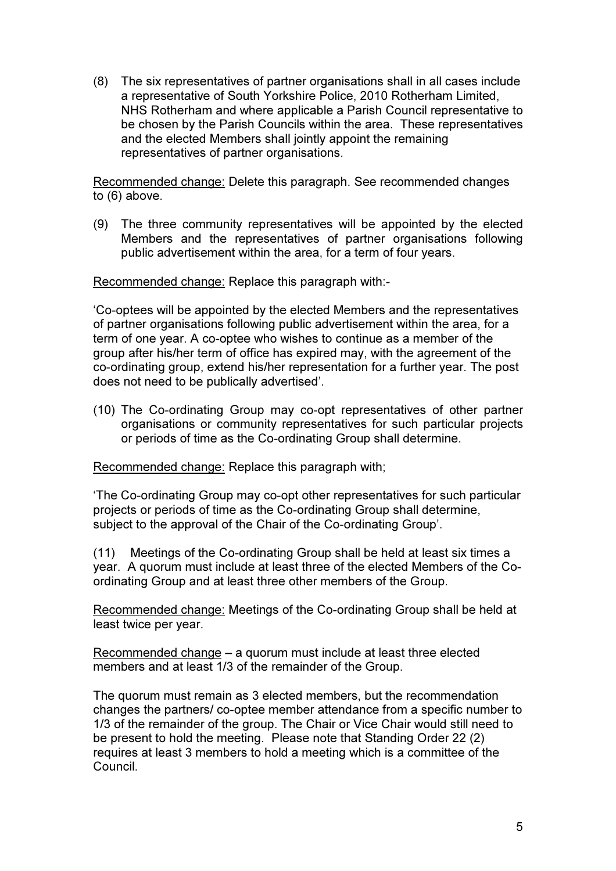(8) The six representatives of partner organisations shall in all cases include a representative of South Yorkshire Police, 2010 Rotherham Limited, NHS Rotherham and where applicable a Parish Council representative to be chosen by the Parish Councils within the area. These representatives and the elected Members shall jointly appoint the remaining representatives of partner organisations.

Recommended change: Delete this paragraph. See recommended changes to (6) above.

(9) The three community representatives will be appointed by the elected Members and the representatives of partner organisations following public advertisement within the area, for a term of four years.

Recommended change: Replace this paragraph with:-

'Co-optees will be appointed by the elected Members and the representatives of partner organisations following public advertisement within the area, for a term of one year. A co-optee who wishes to continue as a member of the group after his/her term of office has expired may, with the agreement of the co-ordinating group, extend his/her representation for a further year. The post does not need to be publically advertised'.

(10) The Co-ordinating Group may co-opt representatives of other partner organisations or community representatives for such particular projects or periods of time as the Co-ordinating Group shall determine.

Recommended change: Replace this paragraph with;

'The Co-ordinating Group may co-opt other representatives for such particular projects or periods of time as the Co-ordinating Group shall determine, subject to the approval of the Chair of the Co-ordinating Group'.

(11) Meetings of the Co-ordinating Group shall be held at least six times a year. A quorum must include at least three of the elected Members of the Coordinating Group and at least three other members of the Group.

Recommended change: Meetings of the Co-ordinating Group shall be held at least twice per year.

Recommended change – a quorum must include at least three elected members and at least 1/3 of the remainder of the Group.

The quorum must remain as 3 elected members, but the recommendation changes the partners/ co-optee member attendance from a specific number to 1/3 of the remainder of the group. The Chair or Vice Chair would still need to be present to hold the meeting. Please note that Standing Order 22 (2) requires at least 3 members to hold a meeting which is a committee of the Council.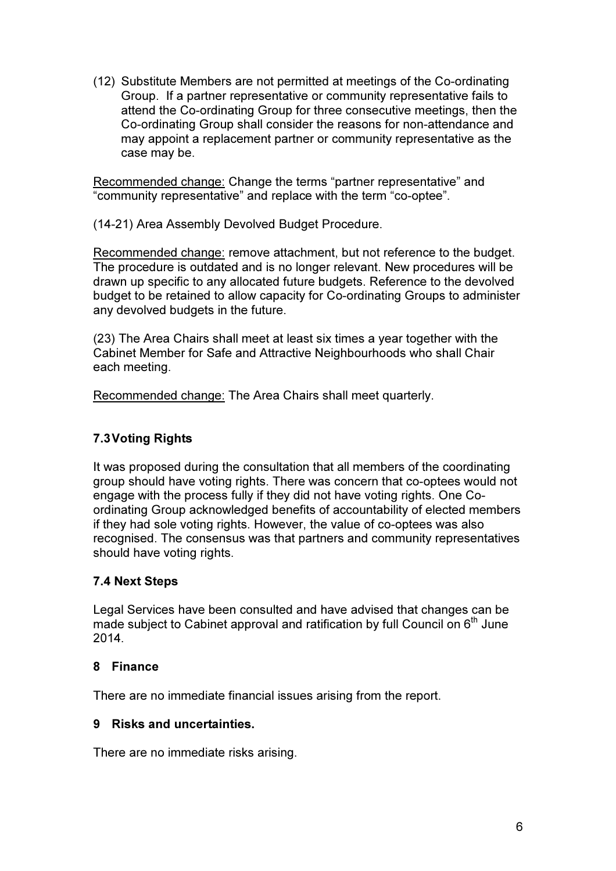(12) Substitute Members are not permitted at meetings of the Co-ordinating Group. If a partner representative or community representative fails to attend the Co-ordinating Group for three consecutive meetings, then the Co-ordinating Group shall consider the reasons for non-attendance and may appoint a replacement partner or community representative as the case may be.

Recommended change: Change the terms "partner representative" and "community representative" and replace with the term "co-optee".

(14-21) Area Assembly Devolved Budget Procedure.

Recommended change: remove attachment, but not reference to the budget. The procedure is outdated and is no longer relevant. New procedures will be drawn up specific to any allocated future budgets. Reference to the devolved budget to be retained to allow capacity for Co-ordinating Groups to administer any devolved budgets in the future.

(23) The Area Chairs shall meet at least six times a year together with the Cabinet Member for Safe and Attractive Neighbourhoods who shall Chair each meeting.

Recommended change: The Area Chairs shall meet quarterly.

# 7.3 Voting Rights

It was proposed during the consultation that all members of the coordinating group should have voting rights. There was concern that co-optees would not engage with the process fully if they did not have voting rights. One Coordinating Group acknowledged benefits of accountability of elected members if they had sole voting rights. However, the value of co-optees was also recognised. The consensus was that partners and community representatives should have voting rights.

## 7.4 Next Steps

Legal Services have been consulted and have advised that changes can be made subject to Cabinet approval and ratification by full Council on  $6<sup>th</sup>$  June 2014.

### 8 Finance

There are no immediate financial issues arising from the report.

## 9 Risks and uncertainties.

There are no immediate risks arising.